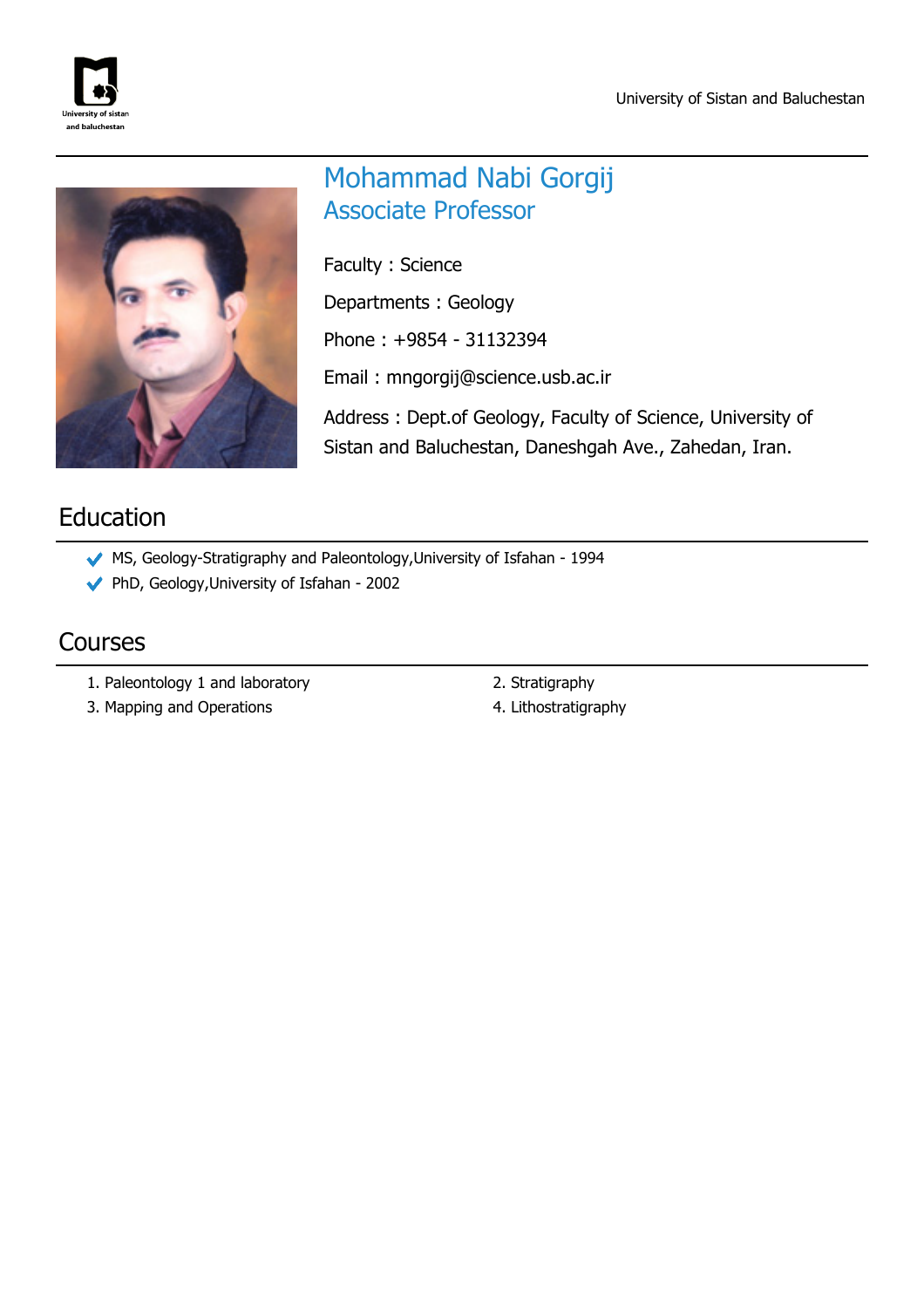



# Mohammad Nabi Gorgij Associate Professor

Faculty : Science

Departments : Geology

Phone : +9854 - 31132394

Email : mngorgij@science.usb.ac.ir

Address : Dept.of Geology, Faculty of Science, University of Sistan and Baluchestan, Daneshgah Ave., Zahedan, Iran.

# Education

- MS, Geology-Stratigraphy and Paleontology,University of Isfahan 1994
- PhD, Geology,University of Isfahan 2002

## Courses

- 1. Paleontology 1 and laboratory and the control of the 2. Stratigraphy
- 3. Mapping and Operations **4. Lithostratigraphy**
- 
-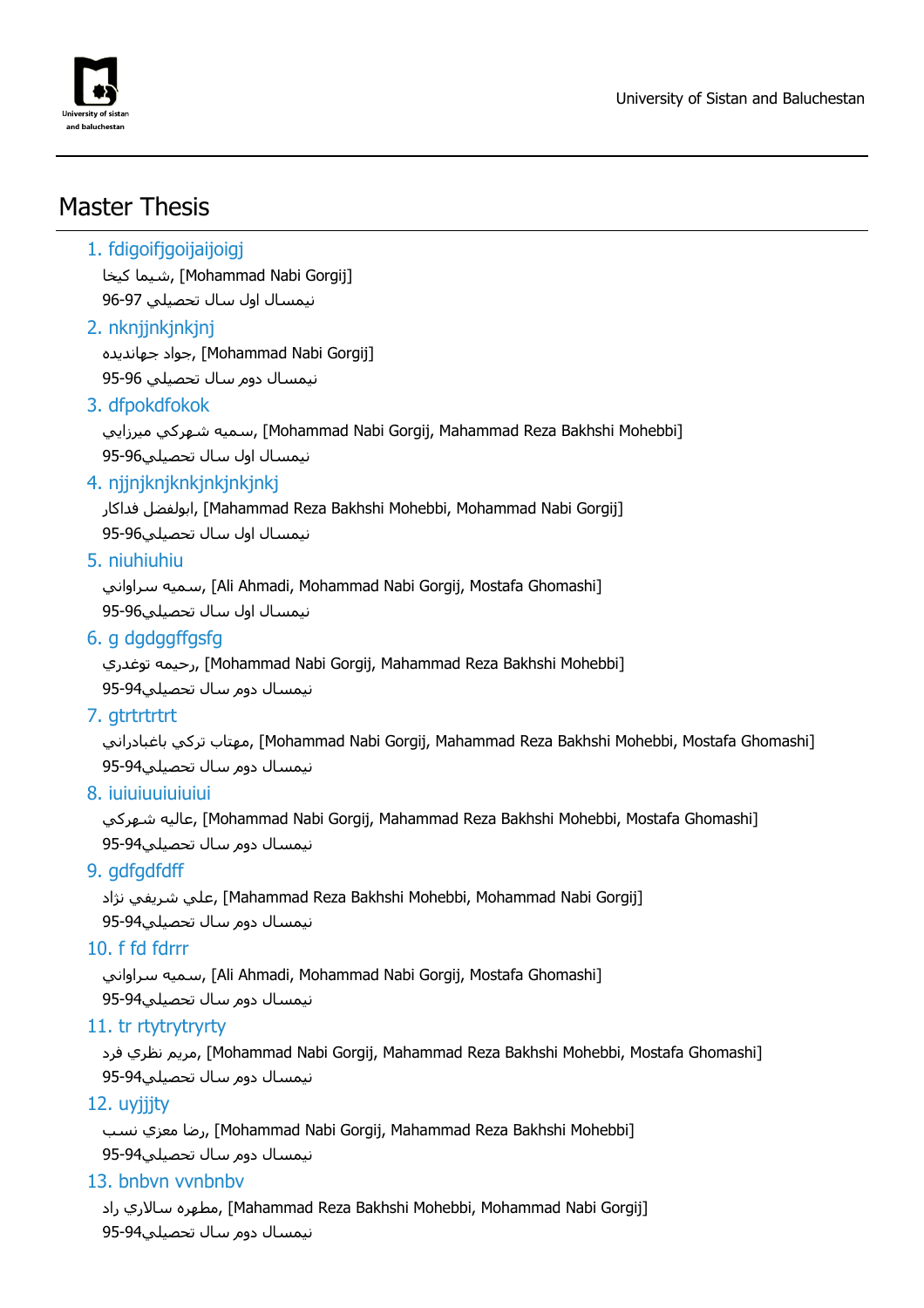

# Master Thesis

#### 1. fdigoifjgoijaijoigj

شيما كيخا, [Mohammad Nabi Gorgij] نيمسال اول سال تحصيلي 96-97

#### 2. nknjjnkjnkjnj

جواد جهانديده, [Mohammad Nabi Gorgij] نيمسال دوم سال تحصيلي 95-96

#### 3. dfpokdfokok

سميه شـهركي ميرزايي, [Mohammad Nabi Gorgij, Mahammad Reza Bakhshi Mohebbi] نيمسال اول سال تحصيلي95-96

#### 4. njjnjknjknkjnkjnkjnkj

فداكار ابولفضل,] Mahammad Reza Bakhshi Mohebbi, Mohammad Nabi Gorgij] نيمسال اول سال تحصيلي95-96

#### 5. niuhiuhiu

سميه سراواني, [Ali Ahmadi, Mohammad Nabi Gorgij, Mostafa Ghomashi] نيمسال اول سال تحصيلي95-96

#### 6. g dgdggffgsfg

رحيمه توغدري, [Mohammad Nabi Gorgij, Mahammad Reza Bakhshi Mohebbi] نيمسال دوم سال تحصيلي95-94

#### 7. gtrtrtrtrt

بمهتاب تركي باغبادراني [Mohammad Nabi Gorgij, Mahammad Reza Bakhshi Mohebbi, Mostafa Ghomashi] نيمسال دوم سال تحصيلي95-94

#### 8. iuiuiuuiuiuiui

شهركي عاليه,] Mohammad Nabi Gorgij, Mahammad Reza Bakhshi Mohebbi, Mostafa Ghomashi] نيمسال دوم سال تحصيلي95-94

### 9. gdfgdfdff

علي شريفي نژاد, [Mahammad Reza Bakhshi Mohebbi, Mohammad Nabi Gorgij] نيمسال دوم سال تحصيلي95-94

#### 10. f fd fdrrr

سميه سراواني, [Ali Ahmadi, Mohammad Nabi Gorgij, Mostafa Ghomashi]

نيمسال دوم سال تحصيلي95-94

#### 11. tr rtytrytryrty

فرد نظري مريم,] Mohammad Nabi Gorgij, Mahammad Reza Bakhshi Mohebbi, Mostafa Ghomashi] نيمسال دوم سال تحصيلي95-94

### 12. uyjjjty

رضا معزي نسب, [Mohammad Nabi Gorgij, Mahammad Reza Bakhshi Mohebbi] نيمسال دوم سال تحصيلي95-94

#### 13. bnbvn vvnbnbv

مطهره سالاري راد, [Mahammad Reza Bakhshi Mohebbi, Mohammad Nabi Gorgij] نيمسال دوم سال تحصيلي95-94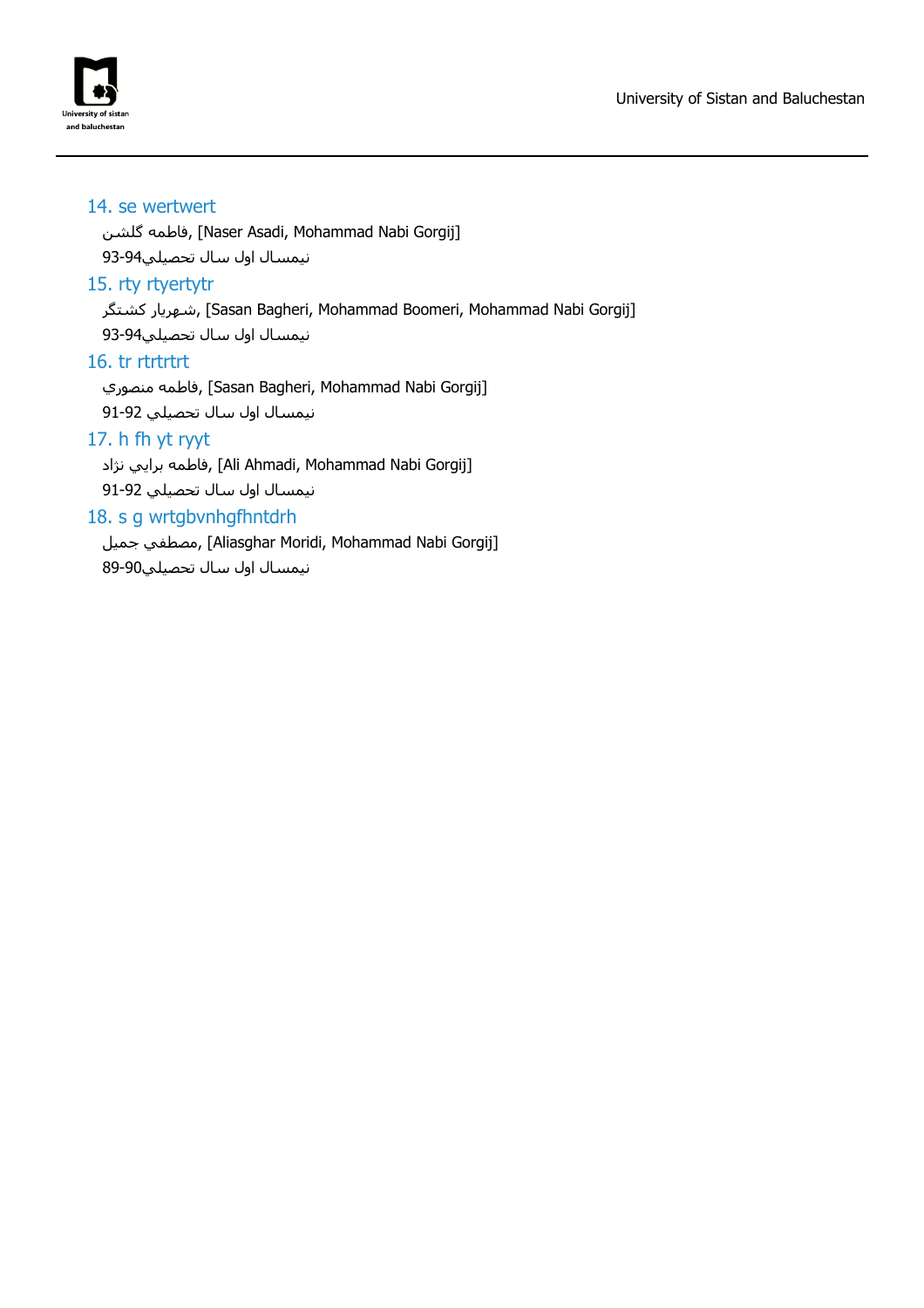

#### 14. se wertwert

گلشن فاطمه,] Naser Asadi, Mohammad Nabi Gorgij]

نيمسال اول سال تحصيلي93-94

#### 15. rty rtyertytr

شهريار كشتگر, [Sasan Bagheri, Mohammad Boomeri, Mohammad Nabi Gorgij]

نيمسال اول سال تحصيلي93-94

#### 16. tr rtrtrtrt

فاطمه منصوري, [Sasan Bagheri, Mohammad Nabi Gorgij] نيمسال اول سال تحصيلي 91-92

#### 17. h fh yt ryyt

فاطمه برايي نژاد, [Ali Ahmadi, Mohammad Nabi Gorgij]

نيمسال اول سال تحصيلي 91-92

#### 18. s g wrtgbvnhgfhntdrh

جميل مصطفي,] Aliasghar Moridi, Mohammad Nabi Gorgij] نيمسال اول سال تحصيلي89-90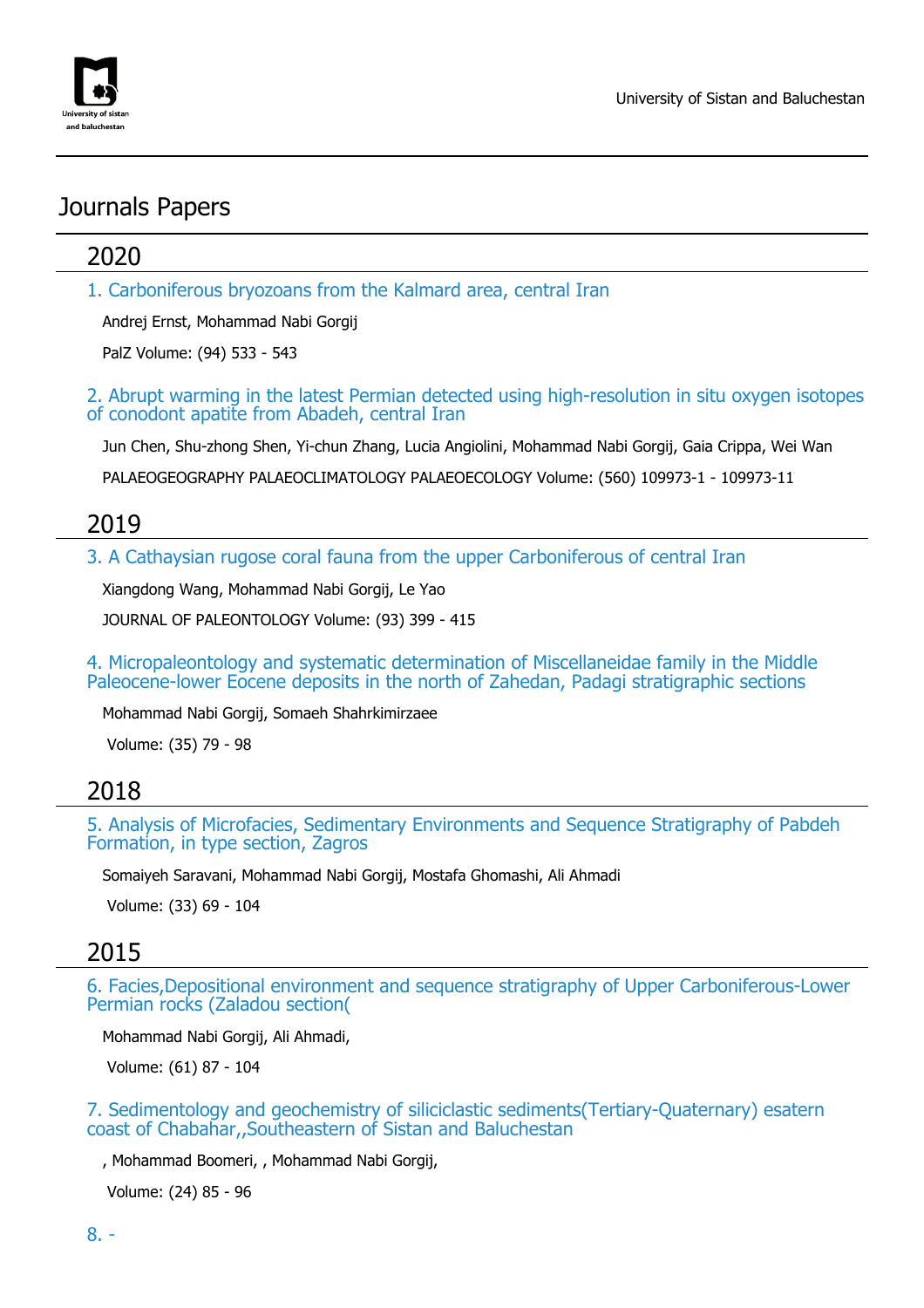

# Journals Papers

## 2020

1. Carboniferous bryozoans from the Kalmard area, central Iran

Andrej Ernst, Mohammad Nabi Gorgij

PalZ Volume: (94) 533 - 543

2. Abrupt warming in the latest Permian detected using high-resolution in situ oxygen isotopes of conodont apatite from Abadeh, central Iran

Jun Chen, Shu-zhong Shen, Yi-chun Zhang, Lucia Angiolini, Mohammad Nabi Gorgij, Gaia Crippa, Wei Wan

PALAEOGEOGRAPHY PALAEOCLIMATOLOGY PALAEOECOLOGY Volume: (560) 109973-1 - 109973-11

## 2019

3. A Cathaysian rugose coral fauna from the upper Carboniferous of central Iran

Xiangdong Wang, Mohammad Nabi Gorgij, Le Yao

JOURNAL OF PALEONTOLOGY Volume: (93) 399 - 415

4. Micropaleontology and systematic determination of Miscellaneidae family in the Middle Paleocene-lower Eocene deposits in the north of Zahedan, Padagi stratigraphic sections

Mohammad Nabi Gorgij, Somaeh Shahrkimirzaee

Volume: (35) 79 - 98

### 2018

5. Analysis of Microfacies, Sedimentary Environments and Sequence Stratigraphy of Pabdeh Formation, in type section, Zagros

Somaiyeh Saravani, Mohammad Nabi Gorgij, Mostafa Ghomashi, Ali Ahmadi

Volume: (33) 69 - 104

### 2015

6. Facies,Depositional environment and sequence stratigraphy of Upper Carboniferous-Lower Permian rocks (Zaladou section(

Mohammad Nabi Gorgij, Ali Ahmadi,

Volume: (61) 87 - 104

7. Sedimentology and geochemistry of siliciclastic sediments(Tertiary-Quaternary) esatern coast of Chabahar,,Southeastern of Sistan and Baluchestan

, Mohammad Boomeri, , Mohammad Nabi Gorgij,

Volume: (24) 85 - 96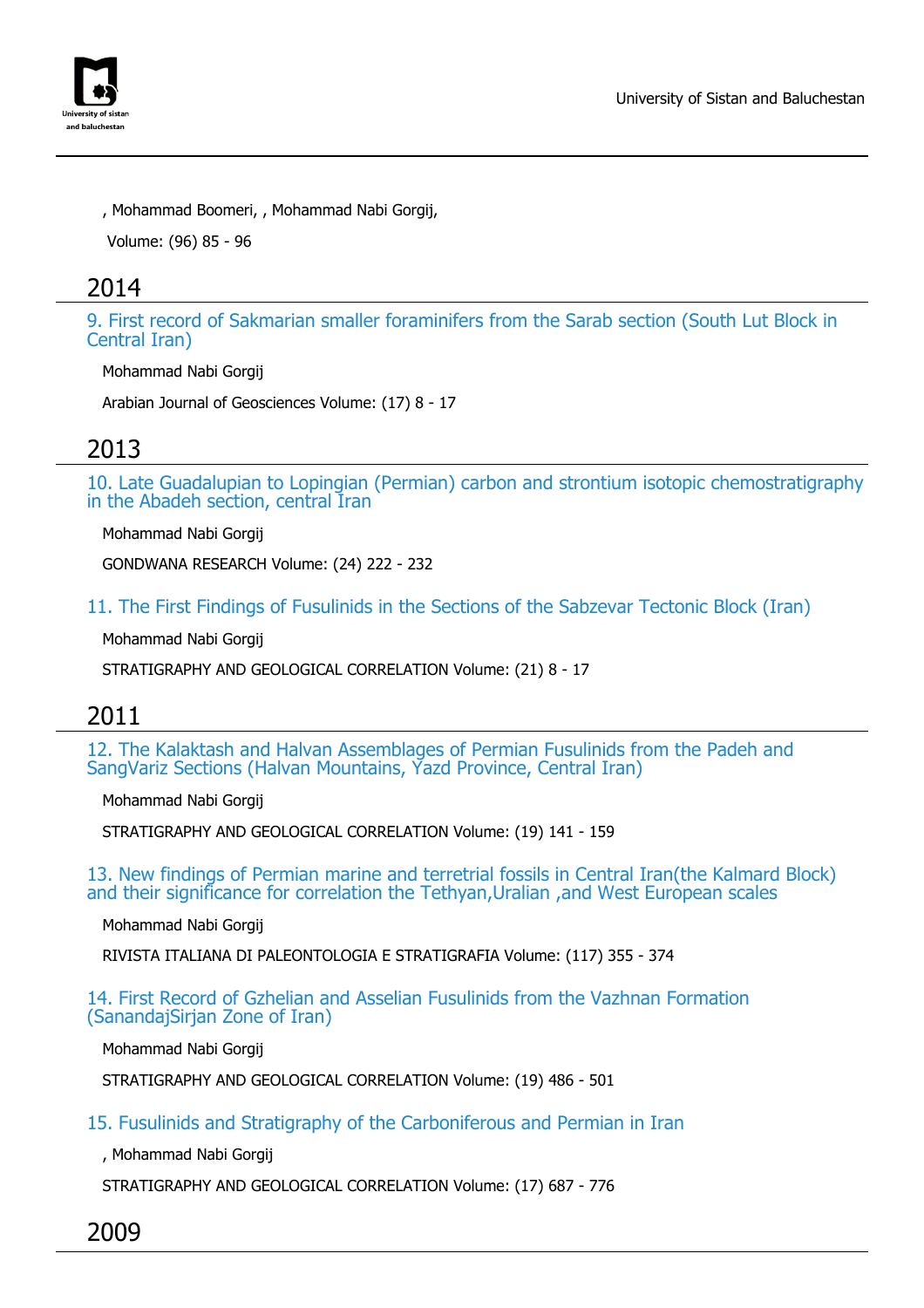

, Mohammad Boomeri, , Mohammad Nabi Gorgij,

Volume: (96) 85 - 96

## 2014

9. First record of Sakmarian smaller foraminifers from the Sarab section (South Lut Block in Central Iran)

Mohammad Nabi Gorgij

Arabian Journal of Geosciences Volume: (17) 8 - 17

## 2013

10. Late Guadalupian to Lopingian (Permian) carbon and strontium isotopic chemostratigraphy in the Abadeh section, central Iran

Mohammad Nabi Gorgij

GONDWANA RESEARCH Volume: (24) 222 - 232

11. The First Findings of Fusulinids in the Sections of the Sabzevar Tectonic Block (Iran)

Mohammad Nabi Gorgij

STRATIGRAPHY AND GEOLOGICAL CORRELATION Volume: (21) 8 - 17

## 2011

12. The Kalaktash and Halvan Assemblages of Permian Fusulinids from the Padeh and SangVariz Sections (Halvan Mountains, Yazd Province, Central Iran)

Mohammad Nabi Gorgij

STRATIGRAPHY AND GEOLOGICAL CORRELATION Volume: (19) 141 - 159

13. New findings of Permian marine and terretrial fossils in Central Iran(the Kalmard Block) and their significance for correlation the Tethyan,Uralian ,and West European scales

Mohammad Nabi Gorgij

RIVISTA ITALIANA DI PALEONTOLOGIA E STRATIGRAFIA Volume: (117) 355 - 374

14. First Record of Gzhelian and Asselian Fusulinids from the Vazhnan Formation (SanandajSirjan Zone of Iran)

Mohammad Nabi Gorgij

STRATIGRAPHY AND GEOLOGICAL CORRELATION Volume: (19) 486 - 501

15. Fusulinids and Stratigraphy of the Carboniferous and Permian in Iran

, Mohammad Nabi Gorgij

STRATIGRAPHY AND GEOLOGICAL CORRELATION Volume: (17) 687 - 776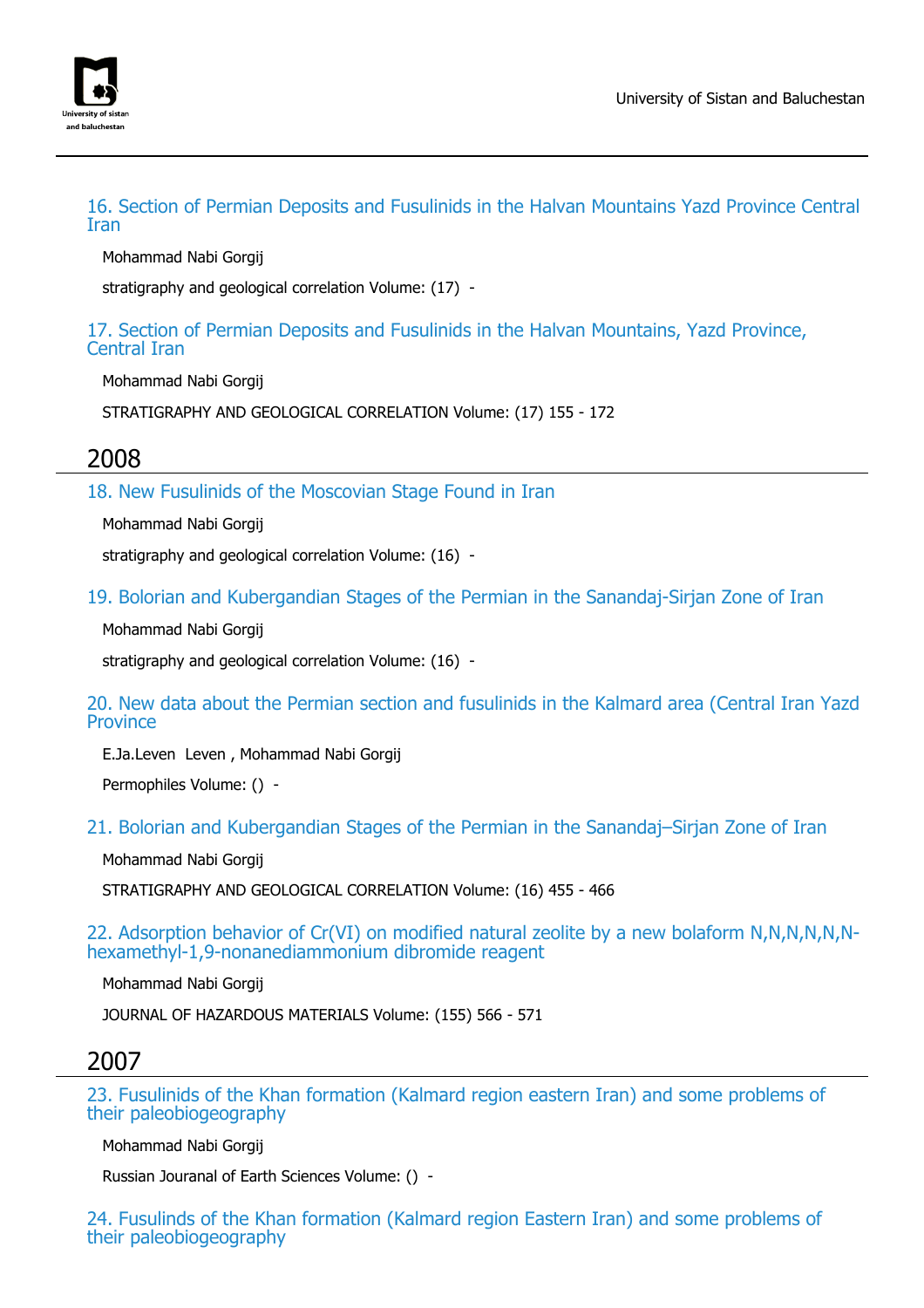

16. Section of Permian Deposits and Fusulinids in the Halvan Mountains Yazd Province Central Iran

Mohammad Nabi Gorgij

stratigraphy and geological correlation Volume: (17) -

17. Section of Permian Deposits and Fusulinids in the Halvan Mountains, Yazd Province, Central Iran

Mohammad Nabi Gorgij

STRATIGRAPHY AND GEOLOGICAL CORRELATION Volume: (17) 155 - 172

### 2008

18. New Fusulinids of the Moscovian Stage Found in Iran

Mohammad Nabi Gorgij

stratigraphy and geological correlation Volume: (16) -

19. Bolorian and Kubergandian Stages of the Permian in the Sanandaj-Sirjan Zone of Iran

Mohammad Nabi Gorgij

stratigraphy and geological correlation Volume: (16) -

20. New data about the Permian section and fusulinids in the Kalmard area (Central Iran Yazd **Province** 

E.Ja.Leven Leven , Mohammad Nabi Gorgij

Permophiles Volume: () -

21. Bolorian and Kubergandian Stages of the Permian in the Sanandaj–Sirjan Zone of Iran

Mohammad Nabi Gorgij

STRATIGRAPHY AND GEOLOGICAL CORRELATION Volume: (16) 455 - 466

22. Adsorption behavior of Cr(VI) on modified natural zeolite by a new bolaform N,N,N,N,N,Nhexamethyl-1,9-nonanediammonium dibromide reagent

Mohammad Nabi Gorgij

JOURNAL OF HAZARDOUS MATERIALS Volume: (155) 566 - 571

### 2007

23. Fusulinids of the Khan formation (Kalmard region eastern Iran) and some problems of their paleobiogeography

Mohammad Nabi Gorgij

Russian Jouranal of Earth Sciences Volume: () -

24. Fusulinds of the Khan formation (Kalmard region Eastern Iran) and some problems of their paleobiogeography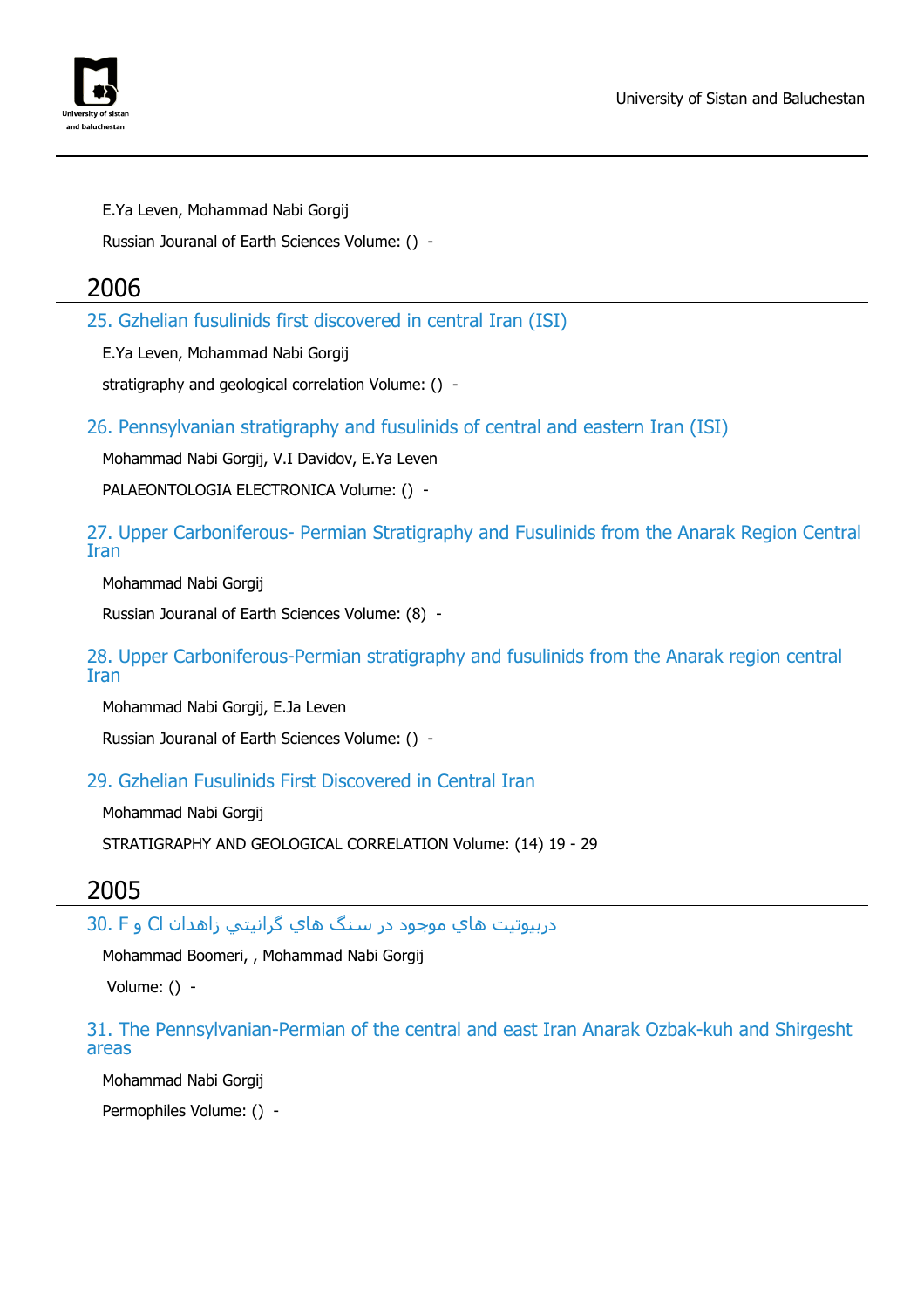



E.Ya Leven, Mohammad Nabi Gorgij

Russian Jouranal of Earth Sciences Volume: () -

### 2006

25. Gzhelian fusulinids first discovered in central Iran (ISI)

E.Ya Leven, Mohammad Nabi Gorgij

stratigraphy and geological correlation Volume: () -

26. Pennsylvanian stratigraphy and fusulinids of central and eastern Iran (ISI)

Mohammad Nabi Gorgij, V.I Davidov, E.Ya Leven

PALAEONTOLOGIA ELECTRONICA Volume: () -

27. Upper Carboniferous- Permian Stratigraphy and Fusulinids from the Anarak Region Central Iran

Mohammad Nabi Gorgij

Russian Jouranal of Earth Sciences Volume: (8) -

28. Upper Carboniferous-Permian stratigraphy and fusulinids from the Anarak region central Iran

Mohammad Nabi Gorgij, E.Ja Leven

Russian Jouranal of Earth Sciences Volume: () -

29. Gzhelian Fusulinids First Discovered in Central Iran

Mohammad Nabi Gorgij

STRATIGRAPHY AND GEOLOGICAL CORRELATION Volume: (14) 19 - 29

### 2005

دربيوتيت هاي موجود در سنگ هاي گرانيتي زاهدان Cl و F 30.

Mohammad Boomeri, , Mohammad Nabi Gorgij

Volume: () -

31. The Pennsylvanian-Permian of the central and east Iran Anarak Ozbak-kuh and Shirgesht areas

Mohammad Nabi Gorgij

Permophiles Volume: () -